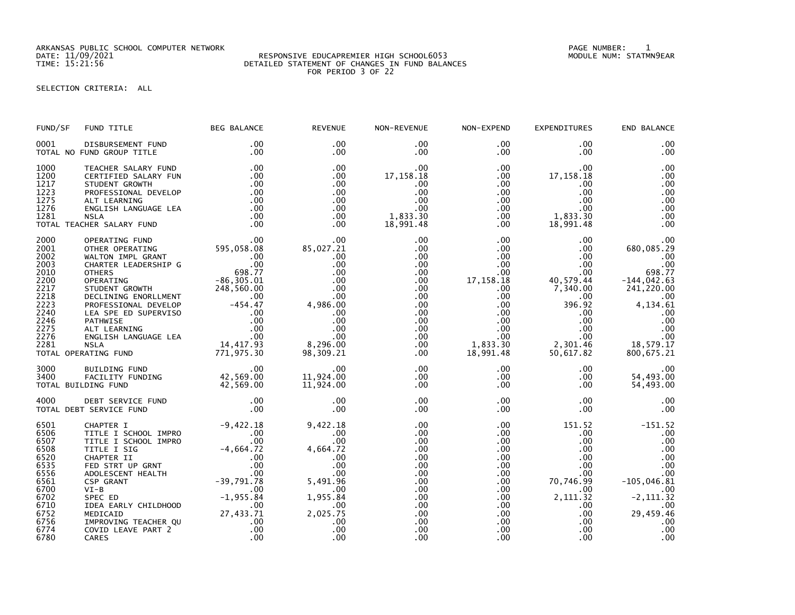ARKANSAS PUBLIC SCHOOL COMPUTER NETWORK PAGE NUMBER: 1

## DATE: 11/09/2021 RESPONSIVE EDUCAPREMIER HIGH SCHOOL6053 MODULE NUM: STATMN9EAR TIME: 15:21:56 DETAILED STATEMENT OF CHANGES IN FUND BALANCES FOR PERIOD 3 OF 22

SELECTION CRITERIA: ALL

| FUND/SF                                                                                                              | FUND TITLE                                                                                                                                                                                                                                                           | <b>BEG BALANCE</b>                                                                                                                                                                              | <b>REVENUE</b>                                                                                                                   | NON-REVENUE                                                                                                                                                                         | NON-EXPEND                                                                                                                                                                          | <b>EXPENDITURES</b>                                                                                                                                                         | END BALANCE                                                                                                                                        |
|----------------------------------------------------------------------------------------------------------------------|----------------------------------------------------------------------------------------------------------------------------------------------------------------------------------------------------------------------------------------------------------------------|-------------------------------------------------------------------------------------------------------------------------------------------------------------------------------------------------|----------------------------------------------------------------------------------------------------------------------------------|-------------------------------------------------------------------------------------------------------------------------------------------------------------------------------------|-------------------------------------------------------------------------------------------------------------------------------------------------------------------------------------|-----------------------------------------------------------------------------------------------------------------------------------------------------------------------------|----------------------------------------------------------------------------------------------------------------------------------------------------|
| 0001                                                                                                                 | DISBURSEMENT FUND<br>TOTAL NO FUND GROUP TITLE                                                                                                                                                                                                                       | .00<br>.00                                                                                                                                                                                      | .00<br>$.00 \times$                                                                                                              | $.00 \,$<br>.00                                                                                                                                                                     | $.00 \,$<br>$.00 \,$                                                                                                                                                                | .00<br>$.00 \times$                                                                                                                                                         | .00<br>.00                                                                                                                                         |
| 1000<br>1200<br>1217<br>1223<br>1275<br>1276<br>1281                                                                 | TEACHER SALARY FUND<br>CERTIFIED SALARY FUN<br>STUDENT GROWTH<br>PROFESSIONAL DEVELOP<br>ALT LEARNING<br>ENGLISH LANGUAGE LEA<br><b>NSLA</b><br>TOTAL TEACHER SALARY FUND                                                                                            | .00<br>.00<br>.00<br>.00<br>.00<br>.00<br>.00<br>.00                                                                                                                                            | .00<br>.00<br>.00<br>.00<br>$.00 \,$<br>$.00 \,$<br>$.00 \,$<br>$.00 \,$                                                         | $.00 \,$<br>17, 158. 18<br>.00<br>.00<br>.00<br>.00<br>1,833.30<br>18,991.48                                                                                                        | $.00 \,$<br>$.00 \,$<br>.00<br>$.00 \,$<br>$.00 \cdot$<br>.00<br>$.00 \,$<br>$.00 \,$                                                                                               | .00<br>17,158.18<br>.00<br>.00<br>$.00 \cdot$<br>.00<br>1,833.30<br>18,991.48                                                                                               | .00<br>.00<br>.00<br>.00<br>.00<br>.00<br>.00<br>.00                                                                                               |
| 2000<br>2001<br>2002<br>2003<br>2010<br>2200<br>2217<br>2218<br>2223<br>2240<br>2246<br>2275<br>2276<br>2281         | OPERATING FUND<br>OTHER OPERATING<br>WALTON IMPL GRANT<br>CHARTER LEADERSHIP G<br><b>OTHERS</b><br>OPERATING<br>PROFESSIONAL DEVIEW.<br>LEA SPE ED SUPERVISO<br>PATHWISE 00<br>ALT LEARNING 00<br>ENGLISH LANGUAGE LEA 00<br>NICLA 14,417.93<br>TOTAL OPERATING FUND | .00<br>595,058.08<br>00<br>698.77<br>$-86, 305.01$<br>771,975.30                                                                                                                                | .00<br>85,027.21<br>.00<br>.00<br>.00<br>.00<br>.00<br>.00<br>4,986.00<br>.00<br>.00<br>.00<br>.00<br>8,296.00<br>98,309.21      | .00<br>$.00 \,$<br>$.00 \,$<br>$.00 \,$<br>$.00 \,$<br>$.00 \,$<br>$.00 \,$<br>$.00 \,$<br>.00 <sub>1</sub><br>$.00 \,$<br>$.00 \,$<br>$.00 \,$<br>$.00 \,$<br>$.00 \,$<br>$.00 \,$ | $.00 \,$<br>.00<br>$.00 \,$<br>$.00 \times$<br>$.00 \,$<br>17, 158. 18<br>$.00 \,$<br>$.00 \,$<br>$.00 \,$<br>$.00 \,$<br>$.00 \,$<br>$.00 \,$<br>$.00 \,$<br>1,833.30<br>18,991.48 | $.00 \,$<br>.00<br>$.00 \,$<br>$.00 \,$<br>$.00 \,$<br>40,579.44<br>7,340.00<br>$.00 \,$<br>396.92<br>$.00 \,$<br>$.00 \,$<br>$.00 \,$<br>$.00 \,$<br>2,301.46<br>50,617.82 | .00<br>680,085.29<br>.00<br>.00<br>698.77<br>$-144,042.63$<br>241,220.00<br>.00<br>4,134.61<br>.00<br>.00<br>.00<br>.00<br>18,579.17<br>800,675.21 |
| 3000<br>3400                                                                                                         | BUILDING FUND<br>FACILITY FUNDING<br>TOTAL BUILDING FUND                                                                                                                                                                                                             | .00<br>42,569.00<br>42,569.00                                                                                                                                                                   | .00<br>11,924.00<br>11,924.00                                                                                                    | $.00 \,$<br>$.00 \,$<br>$.00 \,$                                                                                                                                                    | $.00 \,$<br>$.00 \,$<br>$.00 \,$                                                                                                                                                    | .00<br>$.00 \ \,$<br>$.00 \,$                                                                                                                                               | .00<br>54,493.00<br>54,493.00                                                                                                                      |
| 4000                                                                                                                 | DEBT SERVICE FUND<br>TOTAL DEBT SERVICE FUND                                                                                                                                                                                                                         | .00<br>.00                                                                                                                                                                                      | .00<br>.00                                                                                                                       | .00<br>$.00 \,$                                                                                                                                                                     | $.00 \,$<br>$.00 \,$                                                                                                                                                                | .00<br>$.00 \ \,$                                                                                                                                                           | .00<br>.00                                                                                                                                         |
| 6501<br>6506<br>6507<br>6508<br>6520<br>6535<br>6556<br>6561<br>6700<br>6702<br>6710<br>6752<br>6756<br>6774<br>6780 | CHAPTER I<br>TITLE I SCHOOL IMPRO<br>TITLE I SCHOOL IMPRO<br>TITLE I SIG<br>CHAPTER II<br>FED STRT UP GRNT<br>ADOLESCENT HEALTH<br>CSP GRANT<br>$VI-B$<br>SPEC ED<br>IDEA EARLY CHILDHOOD<br>MEDICAID<br>IMPROVING TEACHER QU<br>COVID LEAVE PART 2<br>CARES         | $-9,422.18$<br>$\begin{array}{c} 00 \\ 00 \end{array}$<br>.00<br>00<br>00 -4 , 664 . 72<br>00 .<br>00 .<br>00 .<br>39 , 791 . 78<br>.00<br>$-1,955.84$<br>.00<br>27,433.71<br>.00<br>.00<br>.00 | 9,422.18<br>.00.<br>.00<br>4,664.72<br>.00<br>.00<br>.00<br>5,491.96<br>.00.<br>1,955.84<br>.00<br>2,025.75<br>.00<br>.00<br>.00 | $.00 \,$<br>.00<br>.00<br>.00<br>.00<br>.00<br>.00<br>$.00 \,$<br>$.00 \,$<br>.00<br>.00<br>$.00 \,$<br>.00<br>.00<br>.00                                                           | $.00 \,$<br>$.00 \,$<br>$.00 \,$<br>$.00 \,$<br>$.00 \,$<br>.00<br>$.00 \,$<br>$.00 \,$<br>$.00 \,$<br>$.00 \,$<br>$.00 \,$<br>$.00 \,$<br>$.00 \,$<br>.00<br>.00                   | 151.52<br>$.00 \,$<br>.00<br>$.00 \,$<br>.00<br>.00<br>.00<br>70,746.99<br>.00.<br>2, 111.32<br>$.00 \,$<br>$.00 \,$<br>$.00 \,$<br>.00<br>.00                              | $-151.52$<br>.00<br>.00<br>.00<br>.00<br>.00<br>.00<br>$-105,046.81$<br>.00<br>$-2, 111.32$<br>.00<br>29,459.46<br>.00<br>.00<br>.00               |